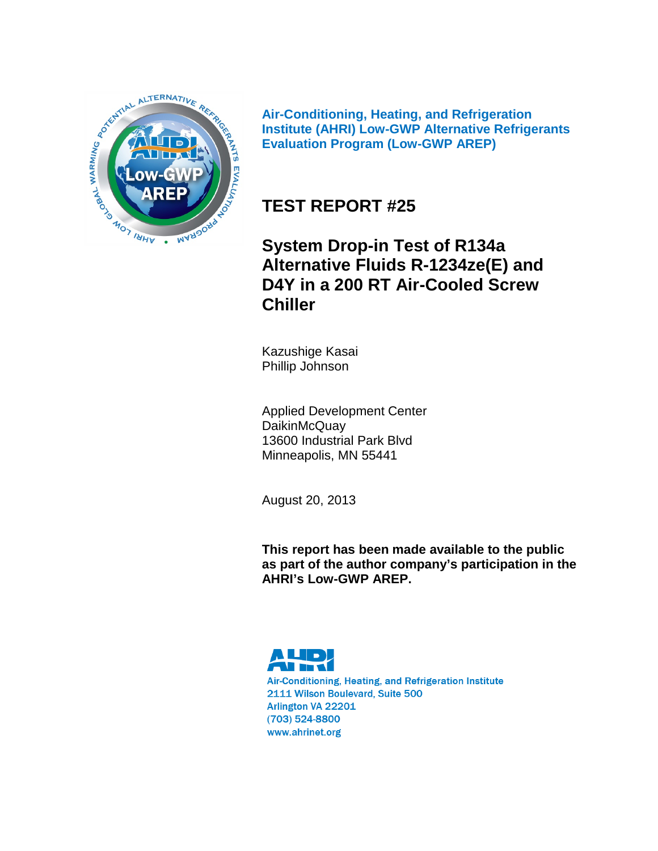

**Air-Conditioning, Heating, and Refrigeration Institute (AHRI) Low-GWP Alternative Refrigerants Evaluation Program (Low-GWP AREP)**

# **TEST REPORT #25**

**System Drop-in Test of R134a Alternative Fluids R-1234ze(E) and D4Y in a 200 RT Air-Cooled Screw Chiller**

Kazushige Kasai Phillip Johnson

Applied Development Center **DaikinMcQuay** 13600 Industrial Park Blvd Minneapolis, MN 55441

August 20, 2013

**This report has been made available to the public as part of the author company's participation in the AHRI's Low-GWP AREP.**

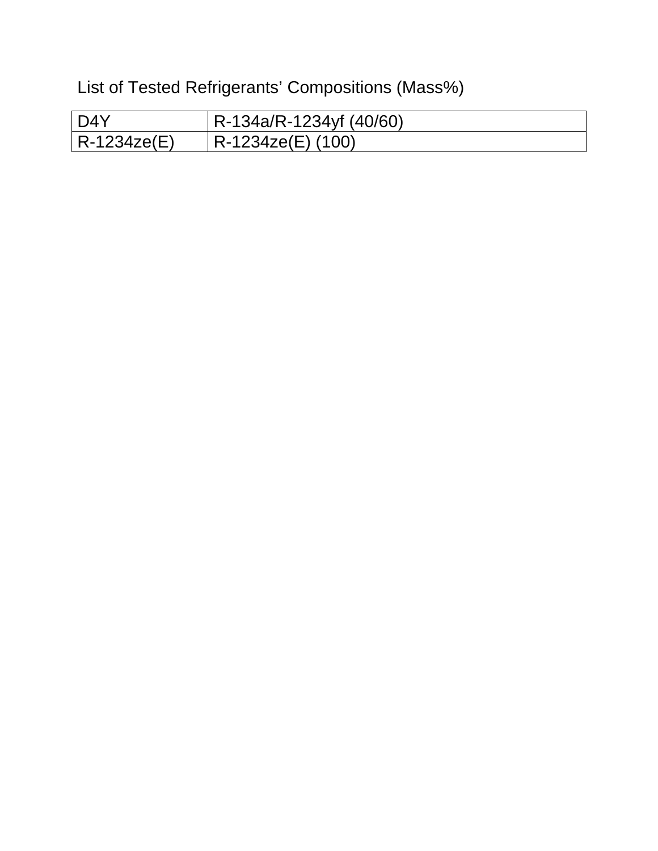List of Tested Refrigerants' Compositions (Mass%)

| l D4Y       | $R-134a/R-1234yf(40/60)$ |
|-------------|--------------------------|
| R-1234ze(E) | R-1234ze(E) (100)        |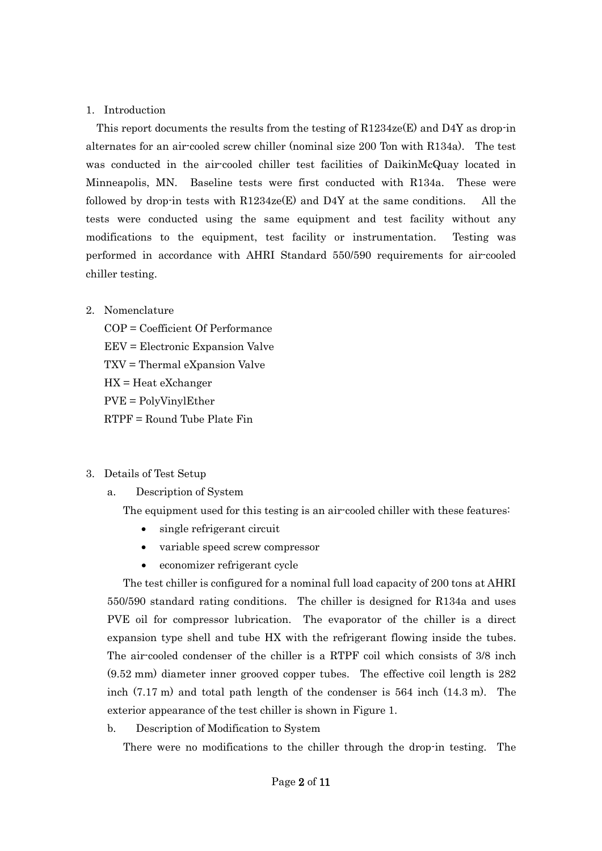#### 1. Introduction

This report documents the results from the testing of  $R1234ze(E)$  and D4Y as drop-in alternates for an air-cooled screw chiller (nominal size 200 Ton with R134a). The test was conducted in the air-cooled chiller test facilities of DaikinMcQuay located in Minneapolis, MN. Baseline tests were first conducted with R134a. These were followed by drop-in tests with  $R1234ze(E)$  and D4Y at the same conditions. All the tests were conducted using the same equipment and test facility without any modifications to the equipment, test facility or instrumentation. Testing was performed in accordance with AHRI Standard 550/590 requirements for air-cooled chiller testing.

### 2. Nomenclature

COP = Coefficient Of Performance EEV = Electronic Expansion Valve TXV = Thermal eXpansion Valve HX = Heat eXchanger PVE = PolyVinylEther RTPF = Round Tube Plate Fin

### 3. Details of Test Setup

a. Description of System

The equipment used for this testing is an air-cooled chiller with these features:

- single refrigerant circuit
- variable speed screw compressor
- economizer refrigerant cycle

The test chiller is configured for a nominal full load capacity of 200 tons at AHRI 550/590 standard rating conditions. The chiller is designed for R134a and uses PVE oil for compressor lubrication. The evaporator of the chiller is a direct expansion type shell and tube HX with the refrigerant flowing inside the tubes. The air-cooled condenser of the chiller is a RTPF coil which consists of 3/8 inch (9.52 mm) diameter inner grooved copper tubes. The effective coil length is 282 inch (7.17 m) and total path length of the condenser is 564 inch (14.3 m). The exterior appearance of the test chiller is shown in Figure 1.

b. Description of Modification to System

There were no modifications to the chiller through the drop-in testing. The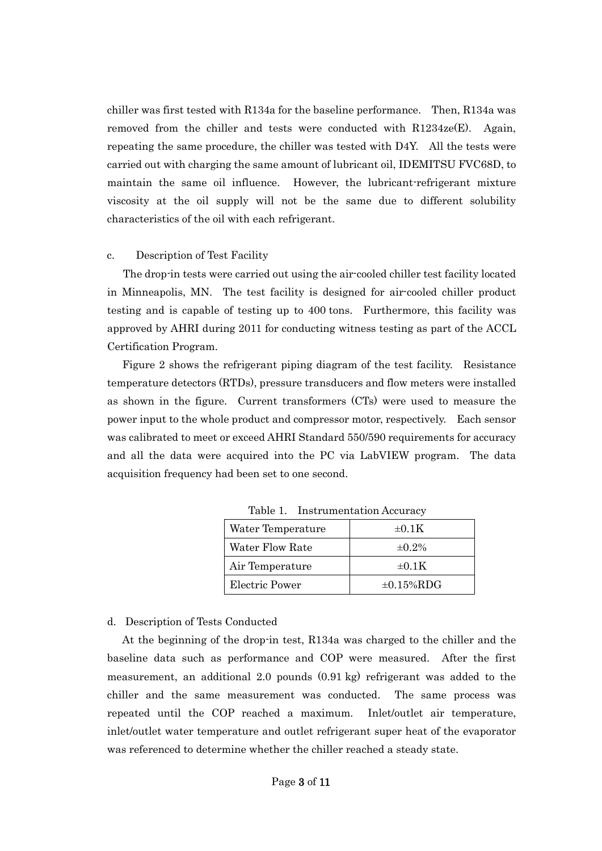chiller was first tested with R134a for the baseline performance. Then, R134a was removed from the chiller and tests were conducted with  $R1234ze(E)$ . Again, repeating the same procedure, the chiller was tested with D4Y. All the tests were carried out with charging the same amount of lubricant oil, IDEMITSU FVC68D, to maintain the same oil influence. However, the lubricant-refrigerant mixture viscosity at the oil supply will not be the same due to different solubility characteristics of the oil with each refrigerant.

#### c. Description of Test Facility

The drop-in tests were carried out using the air-cooled chiller test facility located in Minneapolis, MN. The test facility is designed for air-cooled chiller product testing and is capable of testing up to 400 tons. Furthermore, this facility was approved by AHRI during 2011 for conducting witness testing as part of the ACCL Certification Program.

Figure 2 shows the refrigerant piping diagram of the test facility. Resistance temperature detectors (RTDs), pressure transducers and flow meters were installed as shown in the figure. Current transformers (CTs) were used to measure the power input to the whole product and compressor motor, respectively. Each sensor was calibrated to meet or exceed AHRI Standard 550/590 requirements for accuracy and all the data were acquired into the PC via LabVIEW program. The data acquisition frequency had been set to one second.

| Water Temperature | $\pm 0.1K$       |
|-------------------|------------------|
| Water Flow Rate   | $\pm 0.2\%$      |
| Air Temperature   | $\pm 0.1K$       |
| Electric Power    | $\pm 0.15\%$ RDG |

Table 1. Instrumentation Accuracy

#### d. Description of Tests Conducted

At the beginning of the drop-in test, R134a was charged to the chiller and the baseline data such as performance and COP were measured. After the first measurement, an additional 2.0 pounds (0.91 kg) refrigerant was added to the chiller and the same measurement was conducted. The same process was repeated until the COP reached a maximum. Inlet/outlet air temperature, inlet/outlet water temperature and outlet refrigerant super heat of the evaporator was referenced to determine whether the chiller reached a steady state.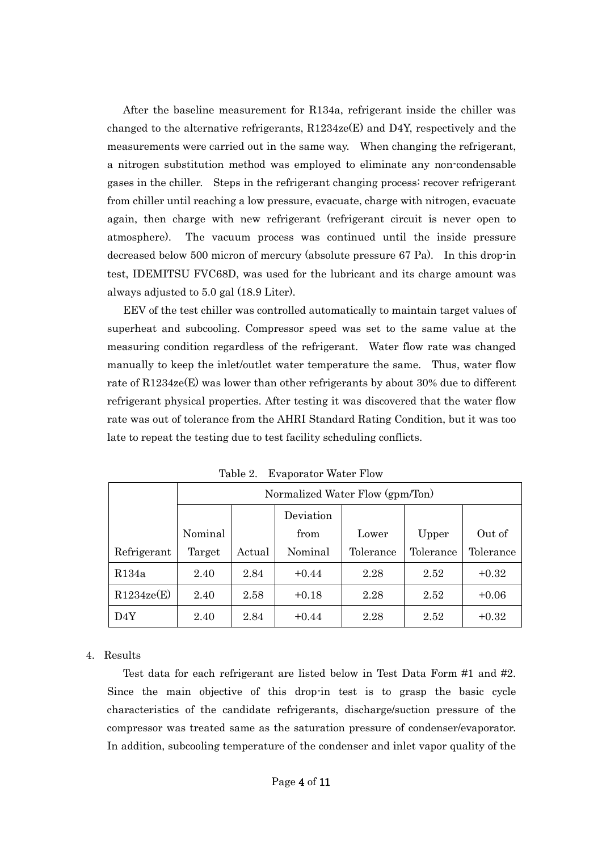After the baseline measurement for R134a, refrigerant inside the chiller was changed to the alternative refrigerants,  $R1234ze(E)$  and D4Y, respectively and the measurements were carried out in the same way. When changing the refrigerant, a nitrogen substitution method was employed to eliminate any non-condensable gases in the chiller. Steps in the refrigerant changing process: recover refrigerant from chiller until reaching a low pressure, evacuate, charge with nitrogen, evacuate again, then charge with new refrigerant (refrigerant circuit is never open to atmosphere). The vacuum process was continued until the inside pressure decreased below 500 micron of mercury (absolute pressure 67 Pa). In this drop-in test, IDEMITSU FVC68D, was used for the lubricant and its charge amount was always adjusted to 5.0 gal (18.9 Liter).

EEV of the test chiller was controlled automatically to maintain target values of superheat and subcooling. Compressor speed was set to the same value at the measuring condition regardless of the refrigerant. Water flow rate was changed manually to keep the inlet/outlet water temperature the same. Thus, water flow rate of R1234ze(E) was lower than other refrigerants by about 30% due to different refrigerant physical properties. After testing it was discovered that the water flow rate was out of tolerance from the AHRI Standard Rating Condition, but it was too late to repeat the testing due to test facility scheduling conflicts.

|             |         | Normalized Water Flow (gpm/Ton) |           |           |           |           |  |  |  |  |
|-------------|---------|---------------------------------|-----------|-----------|-----------|-----------|--|--|--|--|
|             |         |                                 | Deviation |           |           |           |  |  |  |  |
|             | Nominal |                                 | from      | Lower     | Upper     | Out of    |  |  |  |  |
| Refrigerant | Target  | Actual                          | Nominal   | Tolerance | Tolerance | Tolerance |  |  |  |  |
| R134a       | 2.40    | 2.84                            | $+0.44$   | 2.28      | 2.52      | $+0.32$   |  |  |  |  |
| R1234ze(E)  | 2.40    | 2.58                            | $+0.18$   | 2.28      | 2.52      | $+0.06$   |  |  |  |  |
| D4Y         | 2.40    | 2.84                            | $+0.44$   | 2.28      | 2.52      | $+0.32$   |  |  |  |  |

Table 2. Evaporator Water Flow

### 4. Results

Test data for each refrigerant are listed below in Test Data Form #1 and #2. Since the main objective of this drop-in test is to grasp the basic cycle characteristics of the candidate refrigerants, discharge/suction pressure of the compressor was treated same as the saturation pressure of condenser/evaporator. In addition, subcooling temperature of the condenser and inlet vapor quality of the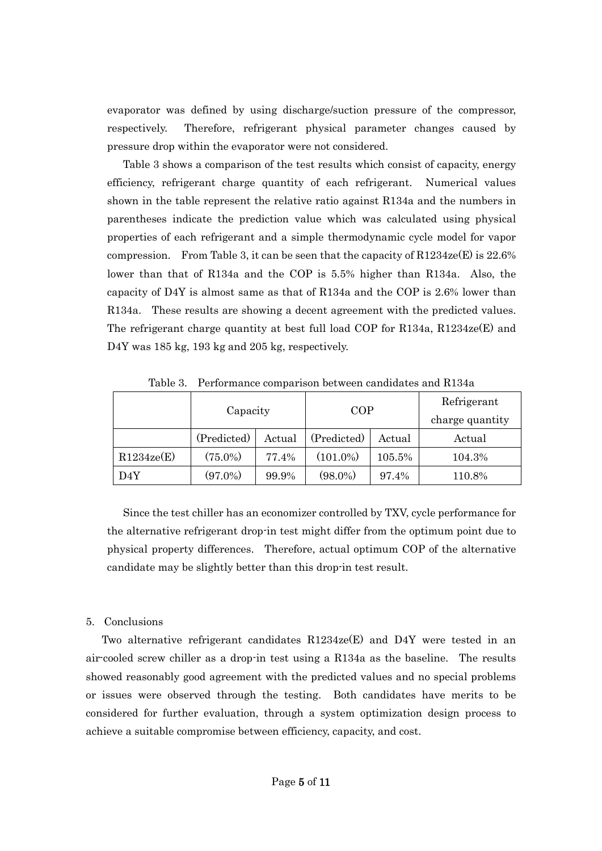evaporator was defined by using discharge/suction pressure of the compressor, respectively. Therefore, refrigerant physical parameter changes caused by pressure drop within the evaporator were not considered.

Table 3 shows a comparison of the test results which consist of capacity, energy efficiency, refrigerant charge quantity of each refrigerant. Numerical values shown in the table represent the relative ratio against R134a and the numbers in parentheses indicate the prediction value which was calculated using physical properties of each refrigerant and a simple thermodynamic cycle model for vapor compression. From Table 3, it can be seen that the capacity of  $R1234ze(E)$  is  $22.6%$ lower than that of R134a and the COP is 5.5% higher than R134a. Also, the capacity of D4Y is almost same as that of R134a and the COP is 2.6% lower than R134a. These results are showing a decent agreement with the predicted values. The refrigerant charge quantity at best full load COP for R134a, R1234ze(E) and D4Y was 185 kg, 193 kg and 205 kg, respectively.

|            | Capacity    |        | <b>COP</b>  |        | Refrigerant<br>charge quantity |
|------------|-------------|--------|-------------|--------|--------------------------------|
|            | (Predicted) | Actual | (Predicted) | Actual | Actual                         |
| R1234ze(E) | $(75.0\%)$  | 77.4%  | $(101.0\%)$ | 105.5% | 104.3%                         |
| D4Y        | $(97.0\%)$  | 99.9%  | $(98.0\%)$  | 97.4%  | 110.8%                         |

Table 3. Performance comparison between candidates and R134a

Since the test chiller has an economizer controlled by TXV, cycle performance for the alternative refrigerant drop-in test might differ from the optimum point due to physical property differences. Therefore, actual optimum COP of the alternative candidate may be slightly better than this drop-in test result.

#### 5. Conclusions

Two alternative refrigerant candidates R1234ze(E) and D4Y were tested in an air-cooled screw chiller as a drop-in test using a R134a as the baseline. The results showed reasonably good agreement with the predicted values and no special problems or issues were observed through the testing. Both candidates have merits to be considered for further evaluation, through a system optimization design process to achieve a suitable compromise between efficiency, capacity, and cost.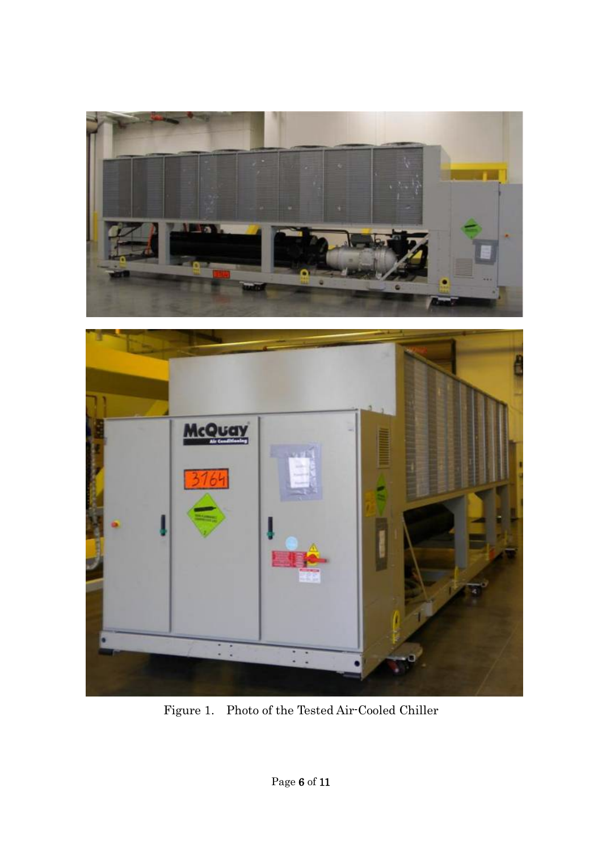



Figure 1. Photo of the Tested Air-Cooled Chiller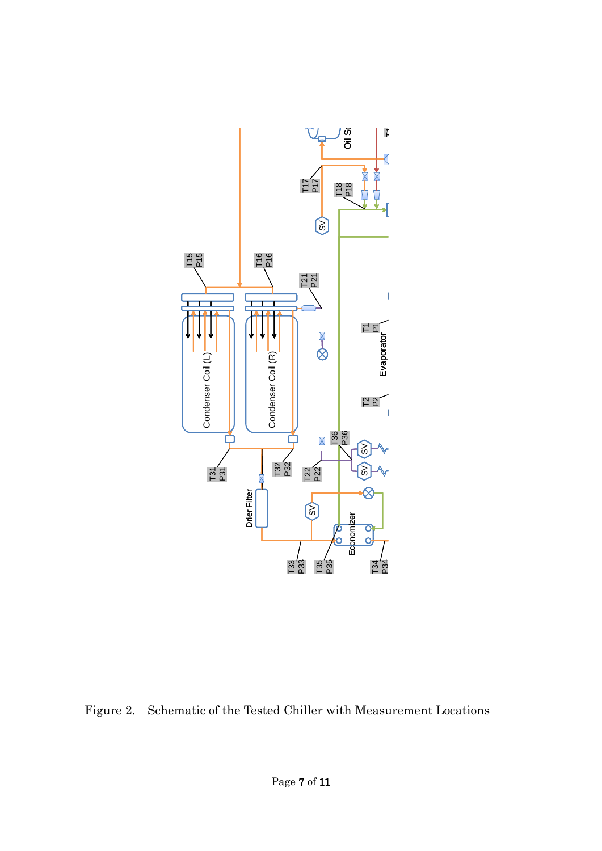

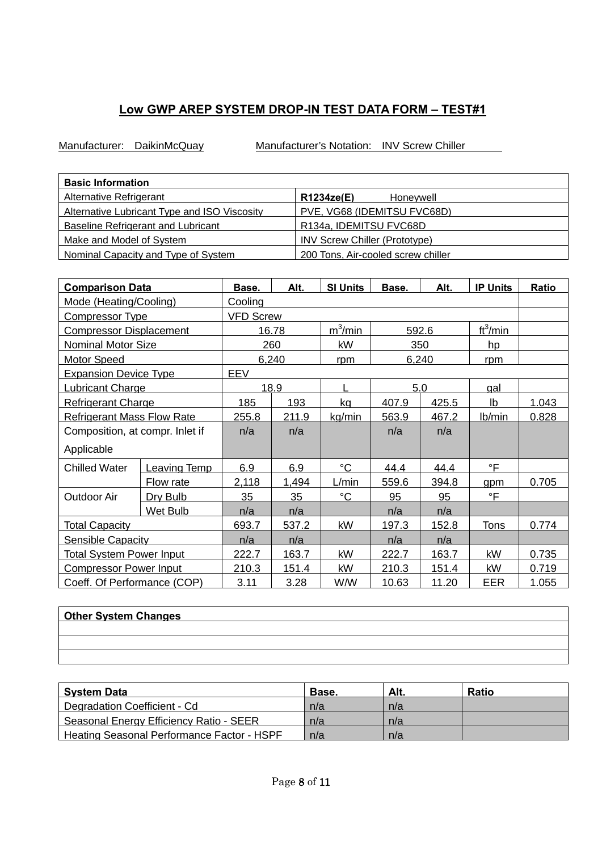Manufacturer: DaikinMcQuay Manufacturer's Notation: INV Screw Chiller

| <b>Basic Information</b>                     |                                      |
|----------------------------------------------|--------------------------------------|
| Alternative Refrigerant                      | R1234ze(E)<br>Honevwell              |
| Alternative Lubricant Type and ISO Viscosity | PVE, VG68 (IDEMITSU FVC68D)          |
| <b>Baseline Refrigerant and Lubricant</b>    | R134a, IDEMITSU FVC68D               |
| Make and Model of System                     | <b>INV Screw Chiller (Prototype)</b> |
| Nominal Capacity and Type of System          | 200 Tons, Air-cooled screw chiller   |

| <b>Comparison Data</b>            | Base.               | Alt.             | <b>SI Units</b> | Base.       | Alt.  | <b>IP Units</b> | <b>Ratio</b>         |       |
|-----------------------------------|---------------------|------------------|-----------------|-------------|-------|-----------------|----------------------|-------|
| Mode (Heating/Cooling)            |                     | Cooling          |                 |             |       |                 |                      |       |
| <b>Compressor Type</b>            |                     | <b>VFD Screw</b> |                 |             |       |                 |                      |       |
| <b>Compressor Displacement</b>    |                     |                  | 16.78           | $m^3/m$ in  |       | 592.6           | ft <sup>3</sup> /min |       |
| Nominal Motor Size                |                     |                  | 260             | kW          |       | 350             | hp                   |       |
| Motor Speed                       |                     |                  | 6,240           | rpm         |       | 6,240           | rpm                  |       |
| <b>Expansion Device Type</b>      |                     | EEV              |                 |             |       |                 |                      |       |
| Lubricant Charge                  |                     |                  | 18.9            |             |       | 5.0             | gal                  |       |
| <b>Refrigerant Charge</b>         |                     | 185              | 193             | ka          | 407.9 | 425.5           | Ib                   | 1.043 |
| <b>Refrigerant Mass Flow Rate</b> |                     | 255.8            | 211.9           | kg/min      | 563.9 | 467.2           | Ib/min               | 0.828 |
| Composition, at compr. Inlet if   |                     | n/a              | n/a             |             | n/a   | n/a             |                      |       |
| Applicable                        |                     |                  |                 |             |       |                 |                      |       |
| <b>Chilled Water</b>              | <b>Leaving Temp</b> | 6.9              | 6.9             | $^{\circ}C$ | 44.4  | 44.4            | °F                   |       |
|                                   | Flow rate           | 2,118            | 1,494           | L/min       | 559.6 | 394.8           | gpm                  | 0.705 |
| <b>Outdoor Air</b>                | Dry Bulb            | 35               | 35              | $^{\circ}C$ | 95    | 95              | $\circ$ F            |       |
|                                   | Wet Bulb            | n/a              | n/a             |             | n/a   | n/a             |                      |       |
| <b>Total Capacity</b>             |                     | 693.7            | 537.2           | kW          | 197.3 | 152.8           | <b>Tons</b>          | 0.774 |
| <b>Sensible Capacity</b>          |                     | n/a              | n/a             |             | n/a   | n/a             |                      |       |
| <b>Total System Power Input</b>   |                     | 222.7            | 163.7           | kW          | 222.7 | 163.7           | kW                   | 0.735 |
| <b>Compressor Power Input</b>     |                     | 210.3            | 151.4           | kW          | 210.3 | 151.4           | kW                   | 0.719 |
| Coeff. Of Performance (COP)       |                     | 3.11             | 3.28            | <b>W/W</b>  | 10.63 | 11.20           | EER                  | 1.055 |

| <b>Other System Changes</b> |  |
|-----------------------------|--|
|                             |  |
|                             |  |
|                             |  |

| <b>System Data</b>                                | Base. | Alt. | <b>Ratio</b> |
|---------------------------------------------------|-------|------|--------------|
| Degradation Coefficient - Cd                      | n/a   | n/a  |              |
| Seasonal Energy Efficiency Ratio - SEER           | n/a   | n/a  |              |
| <b>Heating Seasonal Performance Factor - HSPF</b> | n/a   | n/a  |              |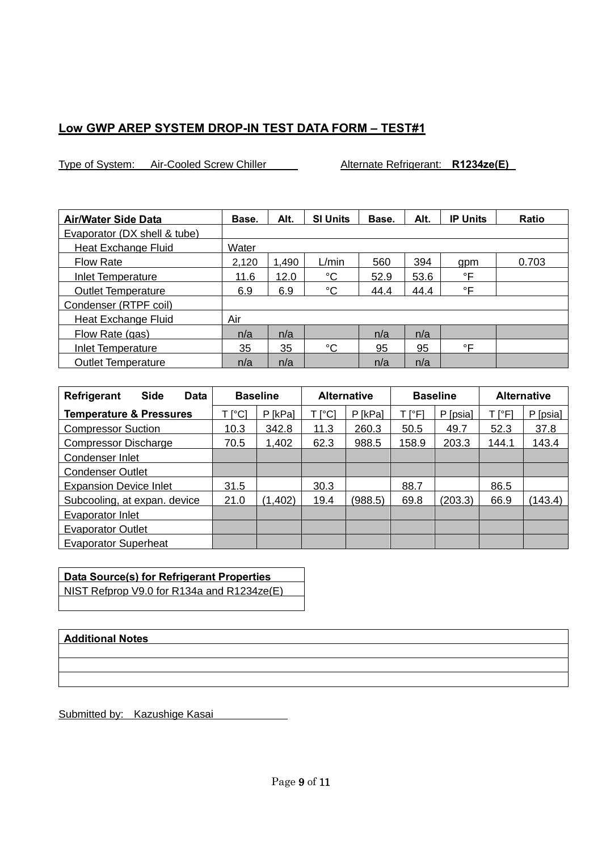Type of System: Air-Cooled Screw Chiller Alternate Refrigerant: **R1234ze(E)** 

| <b>Air/Water Side Data</b>   | Base. | Alt.  | <b>SI Units</b> | Base. | Alt. | <b>IP Units</b> | Ratio |
|------------------------------|-------|-------|-----------------|-------|------|-----------------|-------|
| Evaporator (DX shell & tube) |       |       |                 |       |      |                 |       |
| Heat Exchange Fluid          | Water |       |                 |       |      |                 |       |
| <b>Flow Rate</b>             | 2,120 | 1.490 | L/min           | 560   | 394  | qpm             | 0.703 |
| Inlet Temperature            | 11.6  | 12.0  | $^{\circ}C$     | 52.9  | 53.6 | °F              |       |
| <b>Outlet Temperature</b>    | 6.9   | 6.9   | $^{\circ}C$     | 44.4  | 44.4 | °F              |       |
| Condenser (RTPF coil)        |       |       |                 |       |      |                 |       |
| Heat Exchange Fluid          | Air   |       |                 |       |      |                 |       |
| Flow Rate (gas)              | n/a   | n/a   |                 | n/a   | n/a  |                 |       |
| Inlet Temperature            | 35    | 35    | $^{\circ}C$     | 95    | 95   | °F              |       |
| <b>Outlet Temperature</b>    | n/a   | n/a   |                 | n/a   | n/a  |                 |       |

| <b>Side</b><br><b>Refrigerant</b><br>Data |                           | <b>Baseline</b> |        | <b>Alternative</b> | <b>Baseline</b> |          | <b>Alternative</b> |          |
|-------------------------------------------|---------------------------|-----------------|--------|--------------------|-----------------|----------|--------------------|----------|
| <b>Temperature &amp; Pressures</b>        | $\lceil{^{\circ}C}\rceil$ | P [kPa]         | T [°C] | P [kPa]            | ⊺l°Fl           | P [psia] | T [°F]             | P [psia] |
| <b>Compressor Suction</b>                 | 10.3                      | 342.8           | 11.3   | 260.3              | 50.5            | 49.7     | 52.3               | 37.8     |
| <b>Compressor Discharge</b>               | 70.5                      | 1,402           | 62.3   | 988.5              | 158.9           | 203.3    | 144.1              | 143.4    |
| Condenser Inlet                           |                           |                 |        |                    |                 |          |                    |          |
| <b>Condenser Outlet</b>                   |                           |                 |        |                    |                 |          |                    |          |
| <b>Expansion Device Inlet</b>             | 31.5                      |                 | 30.3   |                    | 88.7            |          | 86.5               |          |
| Subcooling, at expan. device              | 21.0                      | (1, 402)        | 19.4   | (988.5)            | 69.8            | (203.3)  | 66.9               | (143.4)  |
| Evaporator Inlet                          |                           |                 |        |                    |                 |          |                    |          |
| <b>Evaporator Outlet</b>                  |                           |                 |        |                    |                 |          |                    |          |
| <b>Evaporator Superheat</b>               |                           |                 |        |                    |                 |          |                    |          |

## **Data Source(s) for Refrigerant Properties** NIST Refprop V9.0 for R134a and R1234ze(E)

### **Additional Notes**

Submitted by: Kazushige Kasai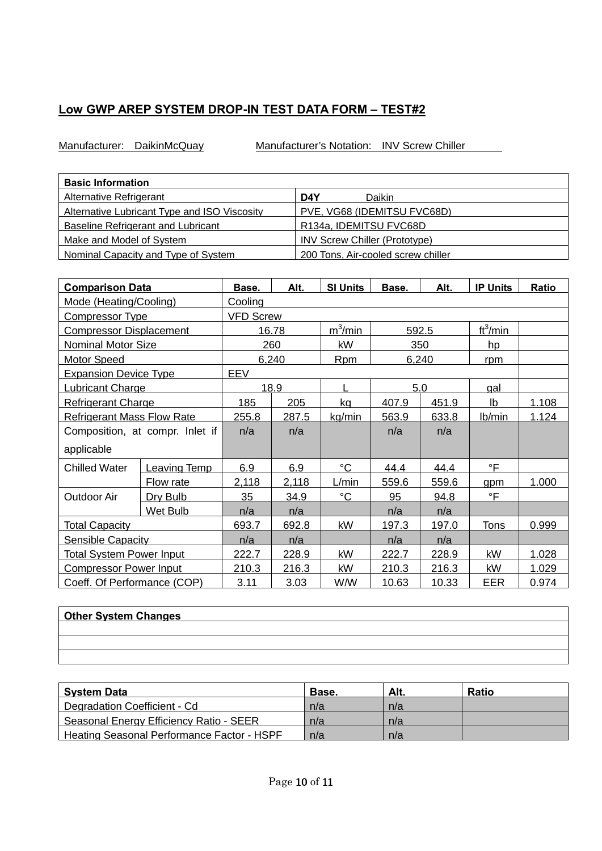Manufacturer: DaikinMcQuay Manufacturer's Notation: INV Screw Chiller

| <b>Basic Information</b>                            |                                      |
|-----------------------------------------------------|--------------------------------------|
| Alternative Refrigerant                             | D <sub>4</sub> Y<br>Daikin           |
| <b>Alternative Lubricant Type and ISO Viscosity</b> | PVE, VG68 (IDEMITSU FVC68D)          |
| Baseline Refrigerant and Lubricant                  | R134a, IDEMITSU FVC68D               |
| Make and Model of System                            | <b>INV Screw Chiller (Prototype)</b> |
| Nominal Capacity and Type of System                 | 200 Tons, Air-cooled screw chiller   |

| <b>Comparison Data</b>            | Base.               | Alt.             | <b>SI Units</b> | Base.           | Alt.  | <b>IP Units</b> | <b>Ratio</b>         |       |
|-----------------------------------|---------------------|------------------|-----------------|-----------------|-------|-----------------|----------------------|-------|
| Mode (Heating/Cooling)            |                     | Cooling          |                 |                 |       |                 |                      |       |
| Compressor Type                   |                     | <b>VFD Screw</b> |                 |                 |       |                 |                      |       |
| <b>Compressor Displacement</b>    |                     |                  | 16.78           | $m^3/m$ in      |       | 592.5           | ft <sup>3</sup> /min |       |
| Nominal Motor Size                |                     |                  | 260             | kW              |       | 350             | hp                   |       |
| <b>Motor Speed</b>                |                     |                  | 6,240           | <b>Rpm</b>      |       | 6,240           | rpm                  |       |
| <b>Expansion Device Type</b>      |                     | EEV              |                 |                 |       |                 |                      |       |
| Lubricant Charge                  |                     |                  | 18.9            | L               |       | 5.0             | gal                  |       |
| <b>Refrigerant Charge</b>         |                     | 185              | 205             | kg              | 407.9 | 451.9           | Ib                   | 1.108 |
| <b>Refrigerant Mass Flow Rate</b> |                     | 255.8            | 287.5           | kg/min          | 563.9 | 633.8           | Ib/min               | 1.124 |
| Composition, at compr. Inlet if   |                     | n/a              | n/a             |                 | n/a   | n/a             |                      |       |
| applicable                        |                     |                  |                 |                 |       |                 |                      |       |
| <b>Chilled Water</b>              | <b>Leaving Temp</b> | 6.9              | 6.9             | $\rm ^{\circ}C$ | 44.4  | 44.4            | °F                   |       |
|                                   | Flow rate           | 2,118            | 2,118           | L/min           | 559.6 | 559.6           | gpm                  | 1.000 |
| <b>Outdoor Air</b>                | Dry Bulb            | 35               | 34.9            | $^{\circ}C$     | 95    | 94.8            | $\mathsf{P}$         |       |
|                                   | Wet Bulb            | n/a              | n/a             |                 | n/a   | n/a             |                      |       |
| <b>Total Capacity</b>             |                     | 693.7            | 692.8           | kW              | 197.3 | 197.0           | <b>Tons</b>          | 0.999 |
| <b>Sensible Capacity</b>          |                     | n/a              | n/a             |                 | n/a   | n/a             |                      |       |
| <b>Total System Power Input</b>   |                     | 222.7            | 228.9           | kW              | 222.7 | 228.9           | kW                   | 1.028 |
| <b>Compressor Power Input</b>     |                     | 210.3            | 216.3           | kW              | 210.3 | 216.3           | kW                   | 1.029 |
| Coeff. Of Performance (COP)       |                     | 3.11             | 3.03            | <b>W/W</b>      | 10.63 | 10.33           | EER                  | 0.974 |

| <b>Other System Changes</b> |  |  |
|-----------------------------|--|--|
|                             |  |  |
|                             |  |  |
|                             |  |  |

| <b>System Data</b>                                | Base. | Alt. | <b>Ratio</b> |
|---------------------------------------------------|-------|------|--------------|
| Degradation Coefficient - Cd                      | n/a   | n/a  |              |
| Seasonal Energy Efficiency Ratio - SEER           | n/a   | n/a  |              |
| <b>Heating Seasonal Performance Factor - HSPF</b> | n/a   | n/a  |              |